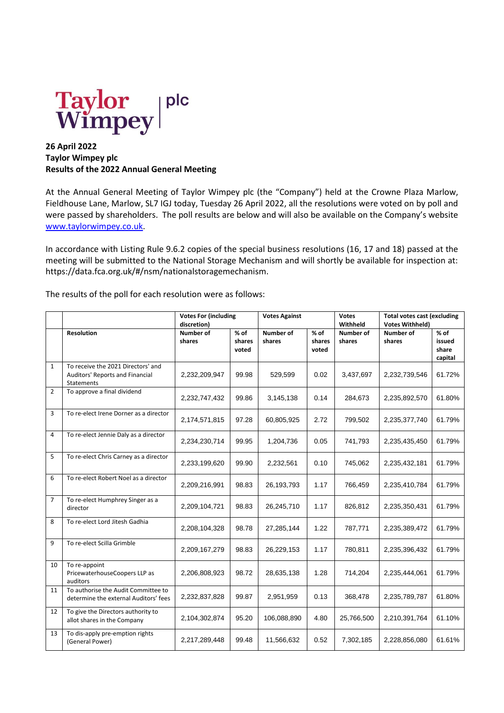

## **26 April 2022 Taylor Wimpey plc Results of the 2022 Annual General Meeting**

At the Annual General Meeting of Taylor Wimpey plc (the "Company") held at the Crowne Plaza Marlow, Fieldhouse Lane, Marlow, SL7 IGJ today, Tuesday 26 April 2022, all the resolutions were voted on by poll and were passed by shareholders. The poll results are below and will also be available on the Company's website [www.taylorwimpey.co.uk.](http://www.taylorwimpey.co.uk/)

In accordance with Listing Rule 9.6.2 copies of the special business resolutions (16, 17 and 18) passed at the meeting will be submitted to the National Storage Mechanism and will shortly be available for inspection at: https://data.fca.org.uk/#/nsm/nationalstoragemechanism.

The results of the poll for each resolution were as follows:

|                |                                                                                     | <b>Votes For (including</b><br>discretion) |                           | <b>Votes Against</b> |                           | <b>Votes</b><br>Withheld   | <b>Total votes cast (excluding</b><br><b>Votes Withheld)</b> |                                      |
|----------------|-------------------------------------------------------------------------------------|--------------------------------------------|---------------------------|----------------------|---------------------------|----------------------------|--------------------------------------------------------------|--------------------------------------|
|                | <b>Resolution</b>                                                                   | <b>Number of</b><br>shares                 | $%$ of<br>shares<br>voted | Number of<br>shares  | $%$ of<br>shares<br>voted | <b>Number of</b><br>shares | Number of<br>shares                                          | $%$ of<br>issued<br>share<br>capital |
| $\mathbf{1}$   | To receive the 2021 Directors' and<br>Auditors' Reports and Financial<br>Statements | 2,232,209,947                              | 99.98                     | 529,599              | 0.02                      | 3,437,697                  | 2,232,739,546                                                | 61.72%                               |
| $\overline{2}$ | To approve a final dividend                                                         | 2,232,747,432                              | 99.86                     | 3,145,138            | 0.14                      | 284,673                    | 2,235,892,570                                                | 61.80%                               |
| 3              | To re-elect Irene Dorner as a director                                              | 2,174,571,815                              | 97.28                     | 60,805,925           | 2.72                      | 799,502                    | 2,235,377,740                                                | 61.79%                               |
| 4              | To re-elect Jennie Daly as a director                                               | 2,234,230,714                              | 99.95                     | 1,204,736            | 0.05                      | 741,793                    | 2,235,435,450                                                | 61.79%                               |
| 5              | To re-elect Chris Carney as a director                                              | 2,233,199,620                              | 99.90                     | 2,232,561            | 0.10                      | 745,062                    | 2,235,432,181                                                | 61.79%                               |
| 6              | To re-elect Robert Noel as a director                                               | 2,209,216,991                              | 98.83                     | 26,193,793           | 1.17                      | 766,459                    | 2,235,410,784                                                | 61.79%                               |
| $\overline{7}$ | To re-elect Humphrey Singer as a<br>director                                        | 2,209,104,721                              | 98.83                     | 26,245,710           | 1.17                      | 826,812                    | 2,235,350,431                                                | 61.79%                               |
| 8              | To re-elect Lord Jitesh Gadhia                                                      | 2,208,104,328                              | 98.78                     | 27,285,144           | 1.22                      | 787,771                    | 2,235,389,472                                                | 61.79%                               |
| 9              | To re-elect Scilla Grimble                                                          | 2,209,167,279                              | 98.83                     | 26,229,153           | 1.17                      | 780,811                    | 2,235,396,432                                                | 61.79%                               |
| 10             | To re-appoint<br>PricewaterhouseCoopers LLP as<br>auditors                          | 2,206,808,923                              | 98.72                     | 28,635,138           | 1.28                      | 714,204                    | 2,235,444,061                                                | 61.79%                               |
| 11             | To authorise the Audit Committee to<br>determine the external Auditors' fees        | 2,232,837,828                              | 99.87                     | 2,951,959            | 0.13                      | 368,478                    | 2,235,789,787                                                | 61.80%                               |
| 12             | To give the Directors authority to<br>allot shares in the Company                   | 2,104,302,874                              | 95.20                     | 106,088,890          | 4.80                      | 25,766,500                 | 2,210,391,764                                                | 61.10%                               |
| 13             | To dis-apply pre-emption rights<br>(General Power)                                  | 2,217,289,448                              | 99.48                     | 11,566,632           | 0.52                      | 7,302,185                  | 2,228,856,080                                                | 61.61%                               |